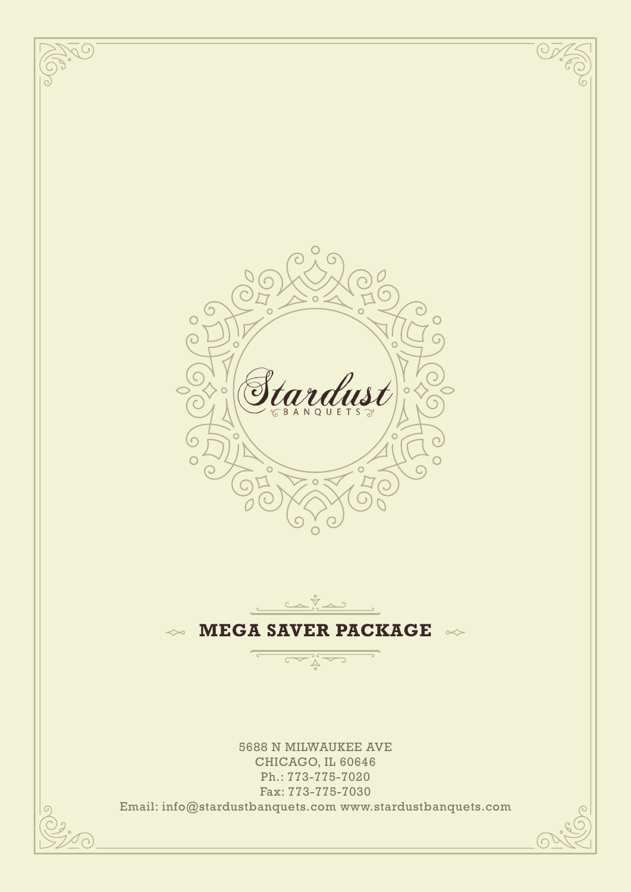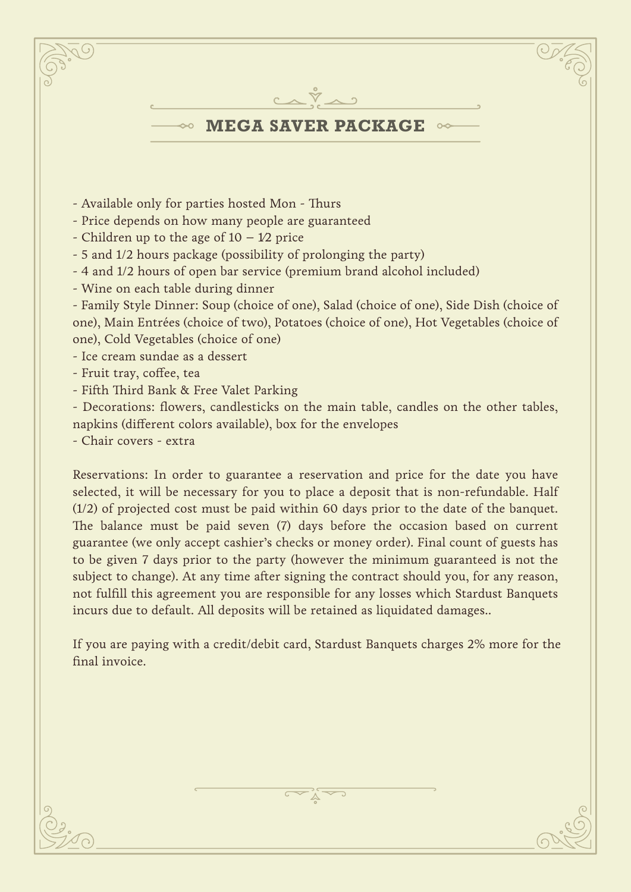

- 4 and 1/2 hours of open bar service (premium brand alcohol included)
- Wine on each table during dinner

- Family Style Dinner: Soup (choice of one), Salad (choice of one), Side Dish (choice of one), Main Entrées (choice of two), Potatoes (choice of one), Hot Vegetables (choice of one), Cold Vegetables (choice of one)

- Ice cream sundae as a dessert

- Fruit tray, coffee, tea
- Fifth Third Bank & Free Valet Parking

- Decorations: flowers, candlesticks on the main table, candles on the other tables, napkins (different colors available), box for the envelopes

- Chair covers - extra

Reservations: In order to guarantee a reservation and price for the date you have selected, it will be necessary for you to place a deposit that is non-refundable. Half (1/2) of projected cost must be paid within 60 days prior to the date of the banquet. The balance must be paid seven (7) days before the occasion based on current guarantee (we only accept cashier's checks or money order). Final count of guests has to be given 7 days prior to the party (however the minimum guaranteed is not the subject to change). At any time after signing the contract should you, for any reason, not fulfill this agreement you are responsible for any losses which Stardust Banquets incurs due to default. All deposits will be retained as liquidated damages..

If you are paying with a credit/debit card, Stardust Banquets charges 2% more for the final invoice.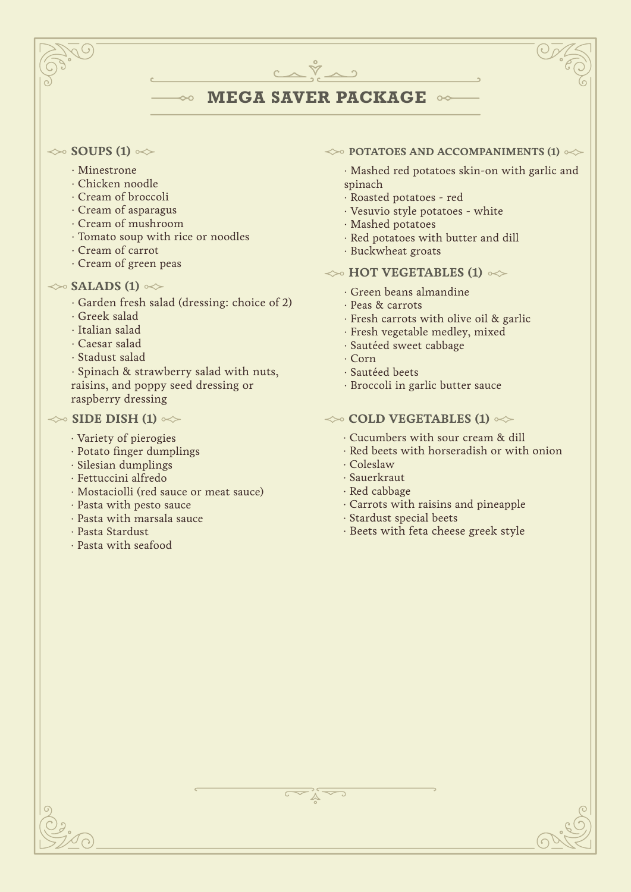# **MEGA SAVER PACKAGE**

 $C\wedge\breve{\nabla}\wedge 2$ 

### $\gg$  **SOUPS (1)**  $\ll$

- · Minestrone
- · Chicken noodle
- · Cream of broccoli
- · Cream of asparagus
- · Cream of mushroom
- · Tomato soup with rice or noodles
- · Cream of carrot
- · Cream of green peas

# $\iff$ **SALADS (1)**  $\iff$

· Garden fresh salad (dressing: choice of 2)

I

- · Greek salad
- · Italian salad
- · Caesar salad
- · Stadust salad

· Spinach & strawberry salad with nuts, raisins, and poppy seed dressing or raspberry dressing

## $\gg$  SIDE DISH (1)  $\ll$

- · Variety of pierogies
- · Potato finger dumplings
- · Silesian dumplings
- · Fettuccini alfredo
- · Mostaciolli (red sauce or meat sauce)
- · Pasta with pesto sauce
- · Pasta with marsala sauce
- · Pasta Stardust
- · Pasta with seafood

### $\leftrightarrow$  **POTATOES AND ACCOMPANIMENTS (1)**  $\leftrightarrow$

· Mashed red potatoes skin-on with garlic and spinach

- · Roasted potatoes red
- · Vesuvio style potatoes white
- · Mashed potatoes
- · Red potatoes with butter and dill
- · Buckwheat groats

# $\leftrightarrow$  **HOT VEGETABLES (1)**  $\infty$

- · Green beans almandine
- · Peas & carrots
- · Fresh carrots with olive oil & garlic
- · Fresh vegetable medley, mixed
- · Sautéed sweet cabbage
- · Corn
- · Sautéed beets
- · Broccoli in garlic butter sauce

# $\leftrightarrow$  **COLD VEGETABLES (1)**  $\leftrightarrow$

- · Cucumbers with sour cream & dill
- · Red beets with horseradish or with onion
- · Coleslaw
- · Sauerkraut
- · Red cabbage
- · Carrots with raisins and pineapple
- · Stardust special beets
- · Beets with feta cheese greek style